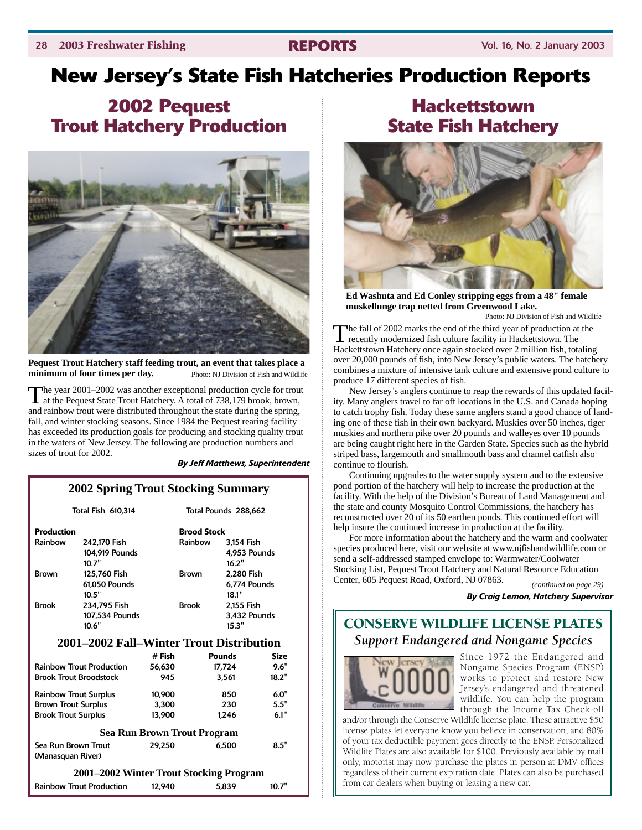## **New Jersey's State Fish Hatcheries Production Reports**

## **2002 Pequest Trout Hatchery Production**



**Pequest Trout Hatchery staff feeding trout, an event that takes place a minimum of four times per day.** Photo: NJ Division of Fish and Wildlife

The year 2001–2002 was another exceptional production cycle for trout at the Pequest State Trout Hatchery. A total of 738,179 brook, brown, and rainbow trout were distributed throughout the state during the spring, fall, and winter stocking seasons. Since 1984 the Pequest rearing facility has exceeded its production goals for producing and stocking quality trout in the waters of New Jersey. The following are production numbers and sizes of trout for 2002.

#### *By Jeff Matthews, Superintendent*

#### **2002 Spring Trout Stocking Summary**

| Total Fish 610,314                       |                |        | Total Pounds 288,662 |               |             |  |  |  |
|------------------------------------------|----------------|--------|----------------------|---------------|-------------|--|--|--|
| <b>Production</b>                        |                |        | <b>Brood Stock</b>   |               |             |  |  |  |
| Rainbow                                  | 242,170 Fish   |        | Rainbow              | 3,154 Fish    |             |  |  |  |
|                                          | 104,919 Pounds |        |                      | 4.953 Pounds  |             |  |  |  |
|                                          | 10.7"          |        |                      | 16.2"         |             |  |  |  |
| Brown                                    | 125,760 Fish   |        | Brown                | 2,280 Fish    |             |  |  |  |
|                                          | 61.050 Pounds  |        |                      | 6.774 Pounds  |             |  |  |  |
|                                          | 10.5"          |        |                      | 18.1"         |             |  |  |  |
| <b>Brook</b>                             | 234,795 Fish   |        | Brook                | 2,155 Fish    |             |  |  |  |
|                                          | 107,534 Pounds |        |                      | 3.432 Pounds  |             |  |  |  |
|                                          | 10.6"          |        |                      | 15.3"         |             |  |  |  |
| 2001–2002 Fall–Winter Trout Distribution |                |        |                      |               |             |  |  |  |
|                                          |                | # Fish |                      | <b>Pounds</b> | <b>Size</b> |  |  |  |
| <b>Rainbow Trout Production</b>          |                | 56,630 |                      | 17,724        | 9.6"        |  |  |  |
| <b>Brook Trout Broodstock</b>            |                | 945    |                      | 3,561         | 18.2"       |  |  |  |
| <b>Rainbow Trout Surplus</b>             |                | 10,900 |                      | 850           | 6.0"        |  |  |  |
| <b>Brown Trout Surplus</b>               |                | 3,300  |                      | 230           | 5.5"        |  |  |  |
| <b>Brook Trout Surplus</b>               |                | 13,900 |                      | 1.246         | 6.1"        |  |  |  |
| <b>Sea Run Brown Trout Program</b>       |                |        |                      |               |             |  |  |  |
| Sea Run Brown Trout                      |                | 29,250 |                      | 6.500         | 8.5"        |  |  |  |
| (Manasquan River)                        |                |        |                      |               |             |  |  |  |
| 2001–2002 Winter Trout Stocking Program  |                |        |                      |               |             |  |  |  |
| <b>Rainbow Trout Production</b>          |                | 12,940 |                      | 5.839         | 10.7"       |  |  |  |

## **Hackettstown State Fish Hatchery**



**Ed Washuta and Ed Conley stripping eggs from a 48" female muskellunge trap netted from Greenwood Lake.**

Photo: NJ Division of Fish and Wildlife

The fall of 2002 marks the end of the third year of production at the recently modernized fish culture facility in Hackettstown. The Hackettstown Hatchery once again stocked over 2 million fish, totaling over 20,000 pounds of fish, into New Jersey's public waters. The hatchery combines a mixture of intensive tank culture and extensive pond culture to produce 17 different species of fish.

New Jersey's anglers continue to reap the rewards of this updated facility. Many anglers travel to far off locations in the U.S. and Canada hoping to catch trophy fish. Today these same anglers stand a good chance of landing one of these fish in their own backyard. Muskies over 50 inches, tiger muskies and northern pike over 20 pounds and walleyes over 10 pounds are being caught right here in the Garden State. Species such as the hybrid striped bass, largemouth and smallmouth bass and channel catfish also continue to flourish.

Continuing upgrades to the water supply system and to the extensive pond portion of the hatchery will help to increase the production at the facility. With the help of the Division's Bureau of Land Management and the state and county Mosquito Control Commissions, the hatchery has reconstructed over 20 of its 50 earthen ponds. This continued effort will help insure the continued increase in production at the facility.

For more information about the hatchery and the warm and coolwater species produced here, visit our website at www.njfishandwildlife.com or send a self-addressed stamped envelope to: Warmwater/Coolwater Stocking List, Pequest Trout Hatchery and Natural Resource Education Center, 605 Pequest Road, Oxford, NJ 07863.

*(continued on page 29) By Craig Lemon, Hatchery Supervisor*

## CONSERVE WILDLIFE LICENSE PLATES *Support Endangered and Nongame Species*



Since 1972 the Endangered and Nongame Species Program (ENSP) works to protect and restore New Jersey's endangered and threatened wildlife. You can help the program through the Income Tax Check-off

and/or through the Conserve Wildlife license plate. These attractive \$50 license plates let everyone know you believe in conservation, and 80% of your tax deductible payment goes directly to the ENSP. Personalized Wildlife Plates are also available for \$100. Previously available by mail only, motorist may now purchase the plates in person at DMV offices regardless of their current expiration date. Plates can also be purchased from car dealers when buying or leasing a new car.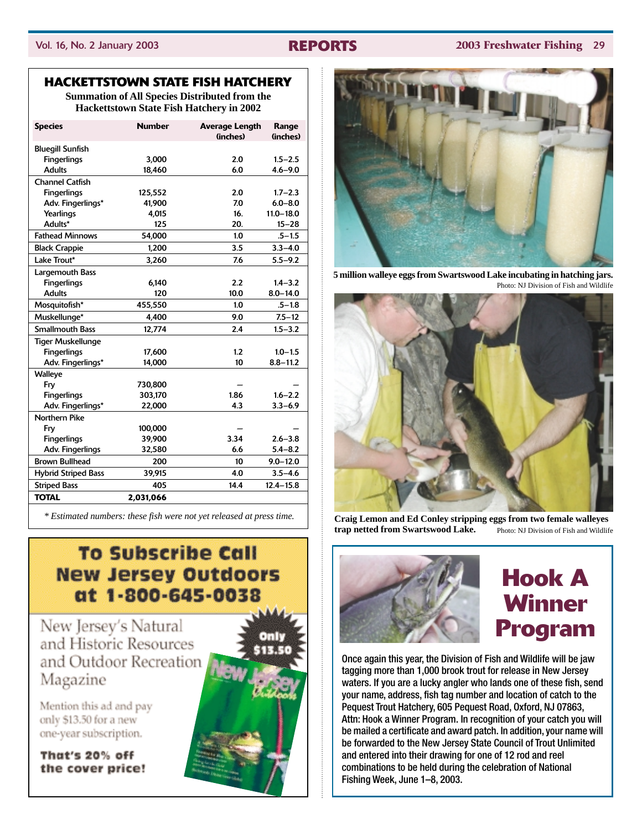#### Vol. 16, No. 2 January 2003 **REPORTS 2003 Freshwater Fishing** 29

### **HACKETTSTOWN STATE FISH HATCHERY**

**Summation of All Species Distributed from the Hackettstown State Fish Hatchery in 2002**

| <b>Species</b>             | <b>Number</b> | <b>Average Length</b> | Range         |
|----------------------------|---------------|-----------------------|---------------|
|                            |               | (inches)              | (inches)      |
| <b>Bluegill Sunfish</b>    |               |                       |               |
| <b>Fingerlings</b>         | 3.000         | 2.0                   | $1.5 - 2.5$   |
| <b>Adults</b>              | 18,460        | 6.0                   | $4.6 - 9.0$   |
| <b>Channel Catfish</b>     |               |                       |               |
| <b>Fingerlings</b>         | 125,552       | 2.0                   | $1.7 - 2.3$   |
| Adv. Fingerlings*          | 41,900        | 7.0                   | $6.0 - 8.0$   |
| Yearlings                  | 4,015         | 16.                   | $11.0 - 18.0$ |
| Adults*                    | 125           | 20.                   | $15 - 28$     |
| <b>Fathead Minnows</b>     | 54,000        | 1.0                   | $.5 - 1.5$    |
| <b>Black Crappie</b>       | 1,200         | 3.5                   | $3.3 - 4.0$   |
| Lake Trout*                | 3,260         | 7.6                   | $5.5 - 9.2$   |
| Largemouth Bass            |               |                       |               |
| <b>Fingerlings</b>         | 6,140         | 2.2                   | $1.4 - 3.2$   |
| <b>Adults</b>              | 120           | 10.0                  | $8.0 - 14.0$  |
| Mosquitofish*              | 455,550       | 1.0                   | $.5 - 1.8$    |
| Muskellunge*               | 4.400         | 9.0                   | $7.5 - 12$    |
| <b>Smallmouth Bass</b>     | 12,774        | 2.4                   | $1.5 - 3.2$   |
| <b>Tiger Muskellunge</b>   |               |                       |               |
| <b>Fingerlings</b>         | 17,600        | 1.2                   | $1.0 - 1.5$   |
| Adv. Fingerlings*          | 14,000        | 10                    | $8.8 - 11.2$  |
| <b>Walleye</b>             |               |                       |               |
| Fry                        | 730,800       |                       |               |
| <b>Fingerlings</b>         | 303,170       | 1.86                  | $1.6 - 2.2$   |
| Adv. Fingerlings*          | 22,000        | 4.3                   | $3.3 - 6.9$   |
| <b>Northern Pike</b>       |               |                       |               |
| Fry                        | 100.000       |                       |               |
| <b>Fingerlings</b>         | 39.900        | 3.34                  | $2.6 - 3.8$   |
| Adv. Fingerlings           | 32,580        | 6.6                   | $5.4 - 8.2$   |
| <b>Brown Bullhead</b>      | 200           | 10                    | $9.0 - 12.0$  |
| <b>Hybrid Striped Bass</b> | 39,915        | 4.0                   | $3.5 - 4.6$   |
| <b>Striped Bass</b>        | 405           | 14.4                  | $12.4 - 15.8$ |
| <b>TOTAL</b>               | 2,031,066     |                       |               |

*\* Estimated numbers: these fish were not yet released at press time.*

## **To Subscribe Call New Jersey Outdoors** at 1-800-645-0038

New Jersey's Natural and Historic Resources and Outdoor Recreation Magazine

Mention this ad and pay only \$13.50 for a new one-year subscription.

That's 20% off the cover price!





**5 million walleye eggs from Swartswood Lake incubating in hatching jars.** Photo: NJ Division of Fish and Wildlife



**Craig Lemon and Ed Conley stripping eggs from two female walleyes trap netted from Swartswood Lake.** Photo: NJ Division of Fish and Wildlife



# **Hook A Winner Program**

Once again this year, the Division of Fish and Wildlife will be jaw tagging more than 1,000 brook trout for release in New Jersey waters. If you are a lucky angler who lands one of these fish, send your name, address, fish tag number and location of catch to the Pequest Trout Hatchery, 605 Pequest Road, Oxford, NJ 07863, Attn: Hook a Winner Program. In recognition of your catch you will be mailed a certificate and award patch. In addition, your name will be forwarded to the New Jersey State Council of Trout Unlimited and entered into their drawing for one of 12 rod and reel combinations to be held during the celebration of National Fishing Week, June 1–8, 2003.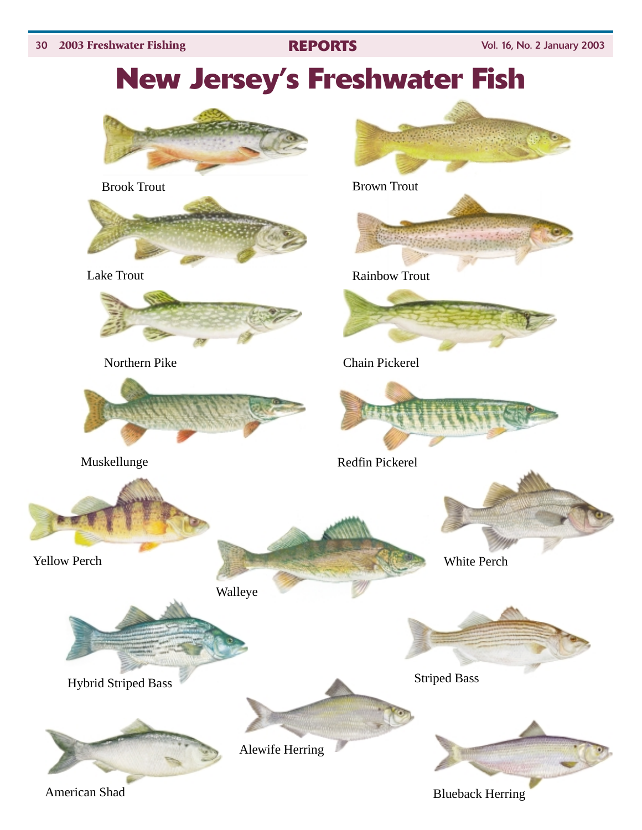